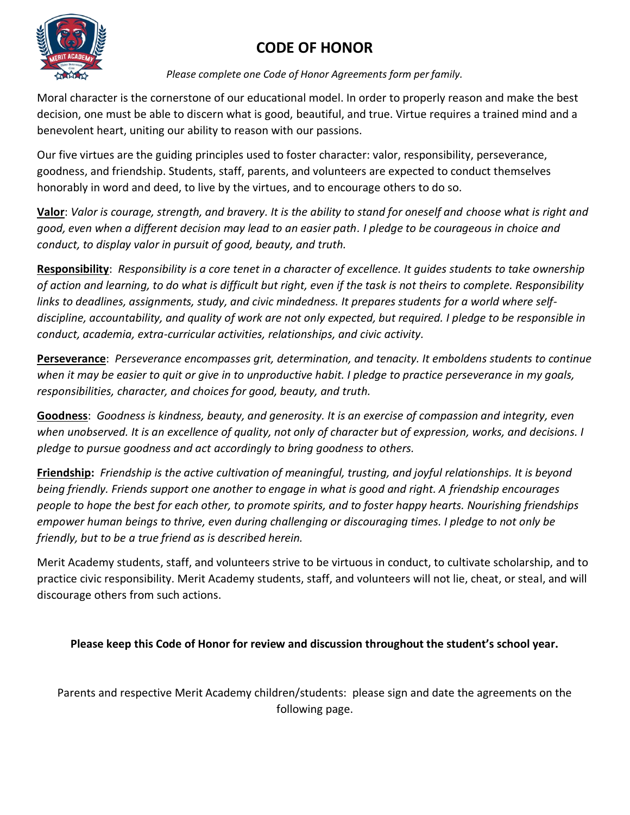## **CODE OF HONOR**



*Please complete one Code of Honor Agreements form per family.*

Moral character is the cornerstone of our educational model. In order to properly reason and make the best decision, one must be able to discern what is good, beautiful, and true. Virtue requires a trained mind and a benevolent heart, uniting our ability to reason with our passions.

Our five virtues are the guiding principles used to foster character: valor, responsibility, perseverance, goodness, and friendship. Students, staff, parents, and volunteers are expected to conduct themselves honorably in word and deed, to live by the virtues, and to encourage others to do so.

**Valor**: *Valor is courage, strength, and bravery. It is the ability to stand for oneself and choose what is right and good, even when a different decision may lead to an easier path. I pledge to be courageous in choice and conduct, to display valor in pursuit of good, beauty, and truth.*

**Responsibility**: *Responsibility is a core tenet in a character of excellence. It guides students to take ownership of action and learning, to do what is difficult but right, even if the task is not theirs to complete. Responsibility links to deadlines, assignments, study, and civic mindedness. It prepares students for a world where selfdiscipline, accountability, and quality of work are not only expected, but required. I pledge to be responsible in conduct, academia, extra-curricular activities, relationships, and civic activity.*

**Perseverance**: *Perseverance encompasses grit, determination, and tenacity. It emboldens students to continue*  when it may be easier to quit or give in to unproductive habit. I pledge to practice perseverance in my goals, *responsibilities, character, and choices for good, beauty, and truth.* 

**Goodness**: *Goodness is kindness, beauty, and generosity. It is an exercise of compassion and integrity, even when unobserved. It is an excellence of quality, not only of character but of expression, works, and decisions. I pledge to pursue goodness and act accordingly to bring goodness to others.* 

**Friendship:** *Friendship is the active cultivation of meaningful, trusting, and joyful relationships. It is beyond being friendly. Friends support one another to engage in what is good and right. A friendship encourages people to hope the best for each other, to promote spirits, and to foster happy hearts. Nourishing friendships empower human beings to thrive, even during challenging or discouraging times. I pledge to not only be friendly, but to be a true friend as is described herein.*

Merit Academy students, staff, and volunteers strive to be virtuous in conduct, to cultivate scholarship, and to practice civic responsibility. Merit Academy students, staff, and volunteers will not lie, cheat, or steal, and will discourage others from such actions.

**Please keep this Code of Honor for review and discussion throughout the student's school year.**

Parents and respective Merit Academy children/students: please sign and date the agreements on the following page.